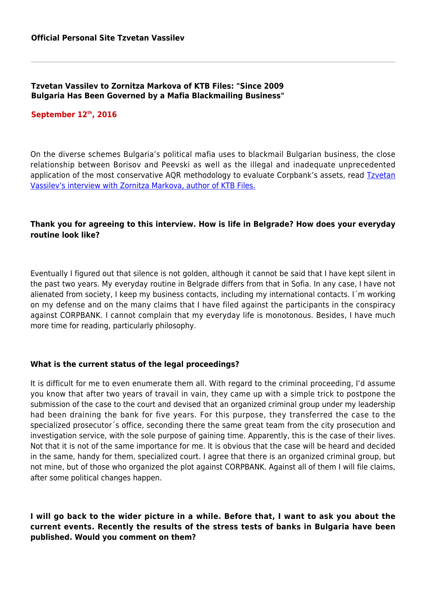## **Tzvetan Vassilev to Zornitza Markova of KTB Files: "Since 2009 Bulgaria Has Been Governed by a Mafia Blackmailing Business"**

## **September 12th, 2016**

On the diverse schemes Bulgaria's political mafia uses to blackmail Bulgarian business, the close relationship between Borisov and Peevski as well as the illegal and inadequate unprecedented application of the most conservative AQR methodology to evaluate Corpbank's assets, read **[Tzvetan](http://www.ktbfiles.com/intervyuta/interview-tsvetan-vasilev/)** [Vassilev's interview with Zornitza Markova, author of KTB Files.](http://www.ktbfiles.com/intervyuta/interview-tsvetan-vasilev/)

# **Thank you for agreeing to this interview. How is life in Belgrade? How does your everyday routine look like?**

Eventually I figured out that silence is not golden, although it cannot be said that I have kept silent in the past two years. My everyday routine in Belgrade differs from that in Sofia. In any case, I have not alienated from society, I keep my business contacts, including my international contacts. I´m working on my defense and on the many claims that I have filed against the participants in the conspiracy against CORPBANK. I cannot complain that my everyday life is monotonous. Besides, I have much more time for reading, particularly philosophy.

## **What is the current status of the legal proceedings?**

It is difficult for me to even enumerate them all. With regard to the criminal proceeding, I'd assume you know that after two years of travail in vain, they came up with a simple trick to postpone the submission of the case to the court and devised that an organized criminal group under my leadership had been draining the bank for five years. For this purpose, they transferred the case to the specialized prosecutor´s office, seconding there the same great team from the city prosecution and investigation service, with the sole purpose of gaining time. Apparently, this is the case of their lives. Not that it is not of the same importance for me. It is obvious that the case will be heard and decided in the same, handy for them, specialized court. I agree that there is an organized criminal group, but not mine, but of those who organized the plot against CORPBANK. Against all of them I will file claims, after some political changes happen.

# **I will go back to the wider picture in a while. Before that, I want to ask you about the current events. Recently the results of the stress tests of banks in Bulgaria have been published. Would you comment on them?**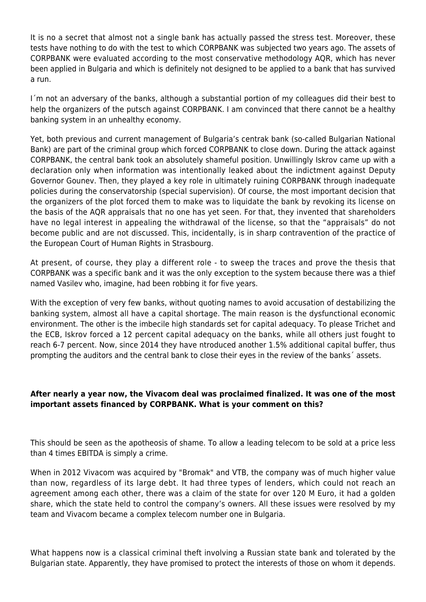It is no a secret that almost not a single bank has actually passed the stress test. Moreover, these tests have nothing to do with the test to which CORPBANK was subjected two years ago. The assets of CORPBANK were evaluated according to the most conservative methodology AQR, which has never been applied in Bulgaria and which is definitely not designed to be applied to a bank that has survived a run.

I´m not an adversary of the banks, although a substantial portion of my colleagues did their best to help the organizers of the putsch against CORPBANK. I am convinced that there cannot be a healthy banking system in an unhealthy economy.

Yet, both previous and current management of Bulgaria's centrak bank (so-called Bulgarian National Bank) are part of the criminal group which forced CORPBANK to close down. During the attack against CORPBANK, the central bank took an absolutely shameful position. Unwillingly Iskrov came up with a declaration only when information was intentionally leaked about the indictment against Deputy Governor Gounev. Then, they played a key role in ultimately ruining CORPBANK through inadequate policies during the conservatorship (special supervision). Of course, the most important decision that the organizers of the plot forced them to make was to liquidate the bank by revoking its license on the basis of the AQR appraisals that no one has yet seen. For that, they invented that shareholders have no legal interest in appealing the withdrawal of the license, so that the "appraisals" do not become public and are not discussed. This, incidentally, is in sharp contravention of the practice of the European Court of Human Rights in Strasbourg.

At present, of course, they play a different role - to sweep the traces and prove the thesis that CORPBANK was a specific bank and it was the only exception to the system because there was a thief named Vasilev who, imagine, had been robbing it for five years.

With the exception of very few banks, without quoting names to avoid accusation of destabilizing the banking system, almost all have a capital shortage. The main reason is the dysfunctional economic environment. The other is the imbecile high standards set for capital adequacy. To please Trichet and the ECB, Iskrov forced a 12 percent capital adequacy on the banks, while all others just fought to reach 6-7 percent. Now, since 2014 they have ntroduced another 1.5% additional capital buffer, thus prompting the auditors and the central bank to close their eyes in the review of the banks´ assets.

# **After nearly a year now, the Vivacom deal was proclaimed finalized. It was one of the most important assets financed by CORPBANK. What is your comment on this?**

This should be seen as the apotheosis of shame. To allow a leading telecom to be sold at a price less than 4 times EBITDA is simply a crime.

When in 2012 Vivacom was acquired by "Bromak" and VTB, the company was of much higher value than now, regardless of its large debt. It had three types of lenders, which could not reach an agreement among each other, there was a claim of the state for over 120 M Euro, it had a golden share, which the state held to control the company's owners. All these issues were resolved by my team and Vivacom became a complex telecom number one in Bulgaria.

What happens now is a classical criminal theft involving a Russian state bank and tolerated by the Bulgarian state. Apparently, they have promised to protect the interests of those on whom it depends.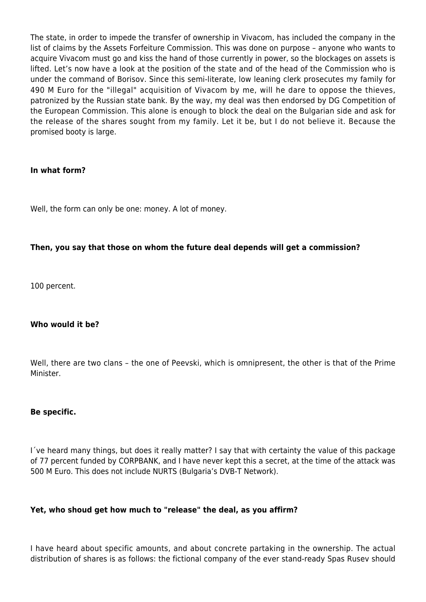The state, in order to impede the transfer of ownership in Vivacom, has included the company in the list of claims by the Assets Forfeiture Commission. This was done on purpose – anyone who wants to acquire Vivacom must go and kiss the hand of those currently in power, so the blockages on assets is lifted. Let's now have a look at the position of the state and of the head of the Commission who is under the command of Borisov. Since this semi-literate, low leaning clerk prosecutes my family for 490 M Euro for the "illegal" acquisition of Vivacom by me, will he dare to oppose the thieves, patronized by the Russian state bank. By the way, my deal was then endorsed by DG Competition of the European Commission. This alone is enough to block the deal on the Bulgarian side and ask for the release of the shares sought from my family. Let it be, but I do not believe it. Because the promised booty is large.

# **In what form?**

Well, the form can only be one: money. A lot of money.

# **Then, you say that those on whom the future deal depends will get a commission?**

100 percent.

# **Who would it be?**

Well, there are two clans – the one of Peevski, which is omnipresent, the other is that of the Prime Minister.

## **Be specific.**

I´ve heard many things, but does it really matter? I say that with certainty the value of this package of 77 percent funded by CORPBANK, and I have never kept this a secret, at the time of the attack was 500 M Euro. This does not include NURTS (Bulgaria's DVB-T Network).

# **Yet, who shoud get how much to "release" the deal, as you affirm?**

I have heard about specific amounts, and about concrete partaking in the ownership. The actual distribution of shares is as follows: the fictional company of the ever stand-ready Spas Rusev should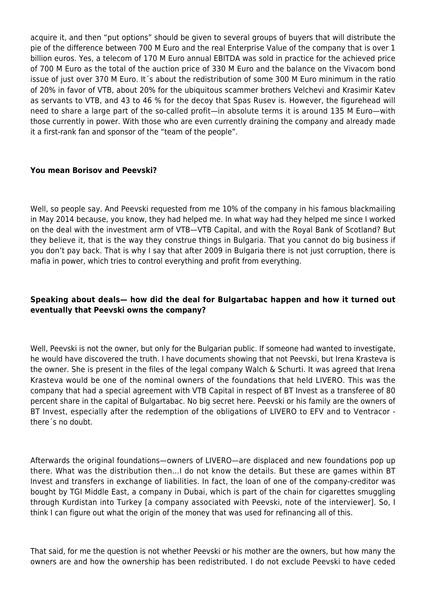acquire it, and then "put options" should be given to several groups of buyers that will distribute the pie of the difference between 700 M Euro and the real Enterprise Value of the company that is over 1 billion euros. Yes, a telecom of 170 M Euro annual EBITDA was sold in practice for the achieved price of 700 M Euro as the total of the auction price of 330 M Euro and the balance on the Vivacom bond issue of just over 370 M Euro. It´s about the redistribution of some 300 M Euro minimum in the ratio of 20% in favor of VTB, about 20% for the ubiquitous scammer brothers Velchevi and Krasimir Katev as servants to VTB, and 43 to 46 % for the decoy that Spas Rusev is. However, the figurehead will need to share a large part of the so-called profit—in absolute terms it is around 135 M Euro—with those currently in power. With those who are even currently draining the company and already made it a first-rank fan and sponsor of the "team of the people".

# **You mean Borisov and Peevski?**

Well, so people say. And Peevski requested from me 10% of the company in his famous blackmailing in May 2014 because, you know, they had helped me. In what way had they helped me since I worked on the deal with the investment arm of VTB—VTB Capital, and with the Royal Bank of Scotland? But they believe it, that is the way they construe things in Bulgaria. That you cannot do big business if you don't pay back. That is why I say that after 2009 in Bulgaria there is not just corruption, there is mafia in power, which tries to control everything and profit from everything.

# **Speaking about deals— how did the deal for Bulgartabac happen and how it turned out eventually that Peevski owns the company?**

Well, Peevski is not the owner, but only for the Bulgarian public. If someone had wanted to investigate, he would have discovered the truth. I have documents showing that not Peevski, but Irena Krasteva is the owner. She is present in the files of the legal company Walch & Schurti. It was agreed that Irena Krasteva would be one of the nominal owners of the foundations that held LIVERO. This was the company that had a special agreement with VTB Capital in respect of BT Invest as a transferee of 80 percent share in the capital of Bulgartabac. No big secret here. Peevski or his family are the owners of BT Invest, especially after the redemption of the obligations of LIVERO to EFV and to Ventracor there´s no doubt.

Afterwards the original foundations—owners of LIVERO—are displaced and new foundations pop up there. What was the distribution then…I do not know the details. But these are games within BT Invest and transfers in exchange of liabilities. In fact, the loan of one of the company-creditor was bought by TGI Middle East, a company in Dubai, which is part of the chain for cigarettes smuggling through Kurdistan into Turkey [a company associated with Peevski, note of the interviewer]. So, I think I can figure out what the origin of the money that was used for refinancing all of this.

That said, for me the question is not whether Peevski or his mother are the owners, but how many the owners are and how the ownership has been redistributed. I do not exclude Peevski to have ceded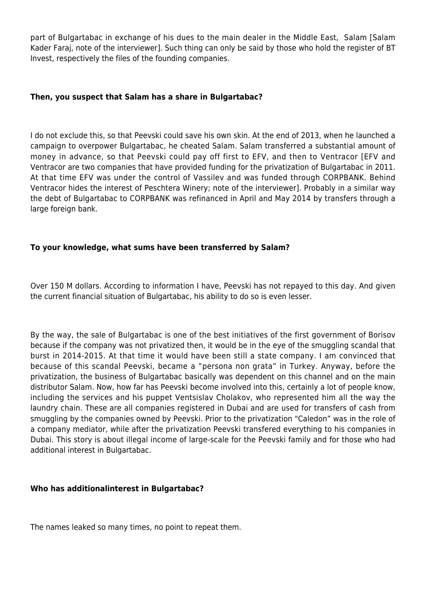part of Bulgartabac in exchange of his dues to the main dealer in the Middle East, Salam [Salam Kader Faraj, note of the interviewer]. Such thing can only be said by those who hold the register of BT Invest, respectively the files of the founding companies.

## **Then, you suspect that Salam has a share in Bulgartabac?**

I do not exclude this, so that Peevski could save his own skin. At the end of 2013, when he launched a campaign to overpower Bulgartabac, he cheated Salam. Salam transferred a substantial amount of money in advance, so that Peevski could pay off first to EFV, and then to Ventracor [EFV and Ventracor are two companies that have provided funding for the privatization of Bulgartabac in 2011. At that time EFV was under the control of Vassilev and was funded through CORPBANK. Behind Ventracor hides the interest of Peschtera Winery; note of the interviewer]. Probably in a similar way the debt of Bulgartabac to CORPBANK was refinanced in April and May 2014 by transfers through a large foreign bank.

# **To your knowledge, what sums have been transferred by Salam?**

Over 150 M dollars. According to information I have, Peevski has not repayed to this day. And given the current financial situation of Bulgartabac, his ability to do so is even lesser.

By the way, the sale of Bulgartabac is one of the best initiatives of the first government of Borisov because if the company was not privatized then, it would be in the eye of the smuggling scandal that burst in 2014-2015. At that time it would have been still a state company. I am convinced that because of this scandal Peevski, became a "persona non grata" in Turkey. Anyway, before the privatization, the business of Bulgartabac basically was dependent on this channel and on the main distributor Salam. Now, how far has Peevski become involved into this, certainly a lot of people know, including the services and his puppet Ventsislav Cholakov, who represented him all the way the laundry chain. These are all companies registered in Dubai and are used for transfers of cash from smuggling by the companies owned by Peevski. Prior to the privatization "Caledon" was in the role of a company mediator, while after the privatization Peevski transfered everything to his companies in Dubai. This story is about illegal income of large-scale for the Peevski family and for those who had additional interest in Bulgartabac.

# **Who has additionalinterest in Bulgartabac?**

The names leaked so many times, no point to repeat them.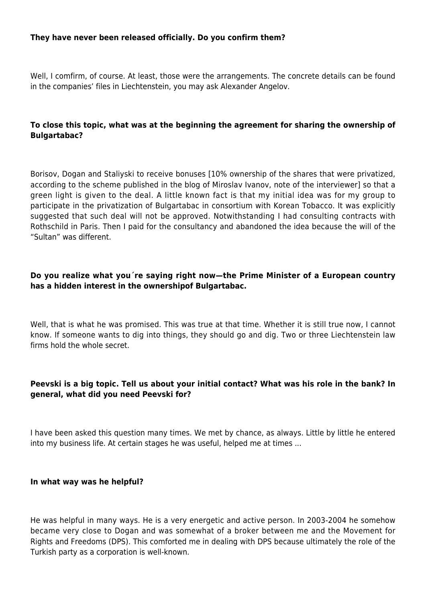## **They have never been released officially. Do you confirm them?**

Well, I comfirm, of course. At least, those were the arrangements. The concrete details can be found in the companies' files in Liechtenstein, you may ask Alexander Angelov.

# **To close this topic, what was at the beginning the agreement for sharing the ownership of Bulgartabac?**

Borisov, Dogan and Staliyski to receive bonuses [10% ownership of the shares that were privatized, according to the scheme published in the blog of Miroslav Ivanov, note of the interviewer] so that a green light is given to the deal. A little known fact is that my initial idea was for my group to participate in the privatization of Bulgartabac in consortium with Korean Tobacco. It was explicitly suggested that such deal will not be approved. Notwithstanding I had consulting contracts with Rothschild in Paris. Then I paid for the consultancy and abandoned the idea because the will of the "Sultan" was different.

# **Do you realize what you´re saying right now—the Prime Minister of a European country has a hidden interest in the ownershipof Bulgartabac.**

Well, that is what he was promised. This was true at that time. Whether it is still true now, I cannot know. If someone wants to dig into things, they should go and dig. Two or three Liechtenstein law firms hold the whole secret.

# **Peevski is a big topic. Tell us about your initial contact? What was his role in the bank? In general, what did you need Peevski for?**

I have been asked this question many times. We met by chance, as always. Little by little he entered into my business life. At certain stages he was useful, helped me at times ...

## **In what way was he helpful?**

He was helpful in many ways. He is a very energetic and active person. In 2003-2004 he somehow became very close to Dogan and was somewhat of a broker between me and the Movement for Rights and Freedoms (DPS). This comforted me in dealing with DPS because ultimately the role of the Turkish party as a corporation is well-known.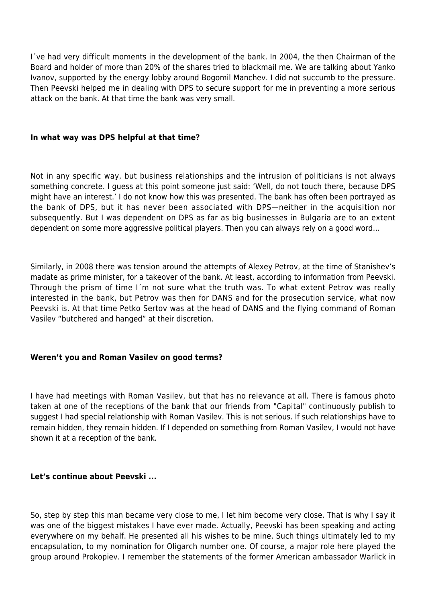I´ve had very difficult moments in the development of the bank. In 2004, the then Chairman of the Board and holder of more than 20% of the shares tried to blackmail me. We are talking about Yanko Ivanov, supported by the energy lobby around Bogomil Manchev. I did not succumb to the pressure. Then Peevski helped me in dealing with DPS to secure support for me in preventing a more serious attack on the bank. At that time the bank was very small.

## **In what way was DPS helpful at that time?**

Not in any specific way, but business relationships and the intrusion of politicians is not always something concrete. I guess at this point someone just said: 'Well, do not touch there, because DPS might have an interest.' I do not know how this was presented. The bank has often been portrayed as the bank of DPS, but it has never been associated with DPS—neither in the acquisition nor subsequently. But I was dependent on DPS as far as big businesses in Bulgaria are to an extent dependent on some more aggressive political players. Then you can always rely on a good word…

Similarly, in 2008 there was tension around the attempts of Alexey Petrov, at the time of Stanishev's madate as prime minister, for a takeover of the bank. At least, according to information from Peevski. Through the prism of time I´m not sure what the truth was. To what extent Petrov was really interested in the bank, but Petrov was then for DANS and for the prosecution service, what now Peevski is. At that time Petko Sertov was at the head of DANS and the flying command of Roman Vasilev "butchered and hanged" at their discretion.

# **Weren't you and Roman Vasilev on good terms?**

I have had meetings with Roman Vasilev, but that has no relevance at all. There is famous photo taken at one of the receptions of the bank that our friends from "Capital" continuously publish to suggest I had special relationship with Roman Vasilev. This is not serious. If such relationships have to remain hidden, they remain hidden. If I depended on something from Roman Vasilev, I would not have shown it at a reception of the bank.

# **Let's continue about Peevski ...**

So, step by step this man became very close to me, I let him become very close. That is why I say it was one of the biggest mistakes I have ever made. Actually, Peevski has been speaking and acting everywhere on my behalf. He presented all his wishes to be mine. Such things ultimately led to my encapsulation, to my nomination for Oligarch number one. Of course, a major role here played the group around Prokopiev. I remember the statements of the former American ambassador Warlick in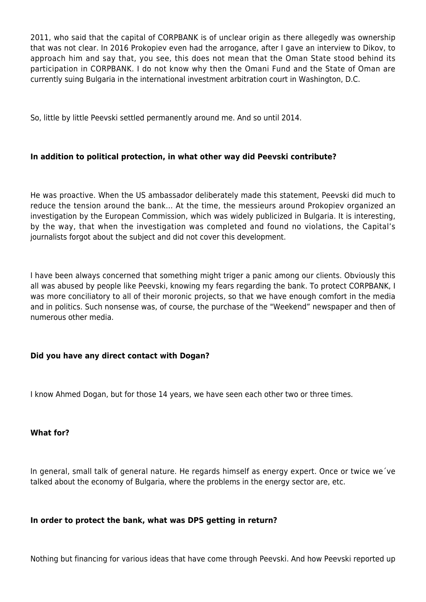2011, who said that the capital of CORPBANK is of unclear origin as there allegedly was ownership that was not clear. In 2016 Prokopiev even had the arrogance, after I gave an interview to Dikov, to approach him and say that, you see, this does not mean that the Oman State stood behind its participation in CORPBANK. I do not know why then the Omani Fund and the State of Oman are currently suing Bulgaria in the international investment arbitration court in Washington, D.C.

So, little by little Peevski settled permanently around me. And so until 2014.

# **In addition to political protection, in what other way did Peevski contribute?**

He was proactive. When the US ambassador deliberately made this statement, Peevski did much to reduce the tension around the bank... At the time, the messieurs around Prokopiev organized an investigation by the European Commission, which was widely publicized in Bulgaria. It is interesting, by the way, that when the investigation was completed and found no violations, the Capital's journalists forgot about the subject and did not cover this development.

I have been always concerned that something might triger a panic among our clients. Obviously this all was abused by people like Peevski, knowing my fears regarding the bank. To protect CORPBANK, I was more conciliatory to all of their moronic projects, so that we have enough comfort in the media and in politics. Such nonsense was, of course, the purchase of the "Weekend" newspaper and then of numerous other media.

# **Did you have any direct contact with Dogan?**

I know Ahmed Dogan, but for those 14 years, we have seen each other two or three times.

# **What for?**

In general, small talk of general nature. He regards himself as energy expert. Once or twice we´ve talked about the economy of Bulgaria, where the problems in the energy sector are, etc.

# **In order to protect the bank, what was DPS getting in return?**

Nothing but financing for various ideas that have come through Peevski. And how Peevski reported up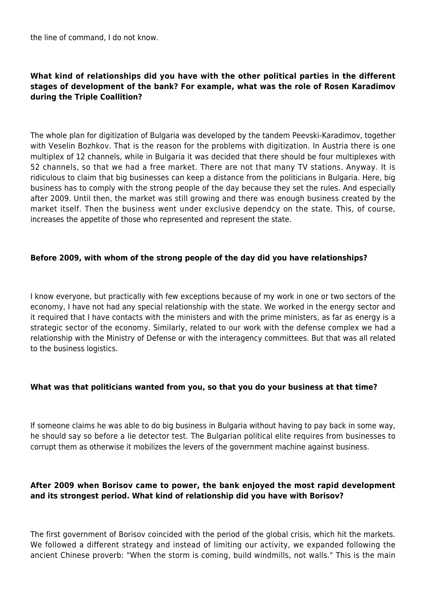the line of command, I do not know.

# **What kind of relationships did you have with the other political parties in the different stages of development of the bank? For example, what was the role of Rosen Karadimov during the Triple Coallition?**

The whole plan for digitization of Bulgaria was developed by the tandem Peevski-Karadimov, together with Veselin Bozhkov. That is the reason for the problems with digitization. In Austria there is one multiplex of 12 channels, while in Bulgaria it was decided that there should be four multiplexes with 52 channels, so that we had a free market. There are not that many TV stations. Anyway. It is ridiculous to claim that big businesses can keep a distance from the politicians in Bulgaria. Here, big business has to comply with the strong people of the day because they set the rules. And especially after 2009. Until then, the market was still growing and there was enough business created by the market itself. Then the business went under exclusive dependcy on the state. This, of course, increases the appetite of those who represented and represent the state.

# **Before 2009, with whom of the strong people of the day did you have relationships?**

I know everyone, but practically with few exceptions because of my work in one or two sectors of the economy, I have not had any special relationship with the state. We worked in the energy sector and it required that I have contacts with the ministers and with the prime ministers, as far as energy is a strategic sector of the economy. Similarly, related to our work with the defense complex we had a relationship with the Ministry of Defense or with the interagency committees. But that was all related to the business logistics.

# **What was that politicians wanted from you, so that you do your business at that time?**

If someone claims he was able to do big business in Bulgaria without having to pay back in some way, he should say so before a lie detector test. The Bulgarian political elite requires from businesses to corrupt them as otherwise it mobilizes the levers of the government machine against business.

# **After 2009 when Borisov came to power, the bank enjoyed the most rapid development and its strongest period. What kind of relationship did you have with Borisov?**

The first government of Borisov coincided with the period of the global crisis, which hit the markets. We followed a different strategy and instead of limiting our activity, we expanded following the ancient Chinese proverb: "When the storm is coming, build windmills, not walls." This is the main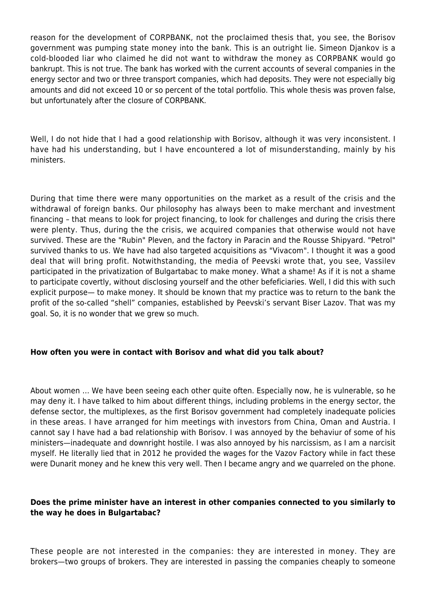reason for the development of CORPBANK, not the proclaimed thesis that, you see, the Borisov government was pumping state money into the bank. This is an outright lie. Simeon Djankov is a cold-blooded liar who claimed he did not want to withdraw the money as CORPBANK would go bankrupt. This is not true. The bank has worked with the current accounts of several companies in the energy sector and two or three transport companies, which had deposits. They were not especially big amounts and did not exceed 10 or so percent of the total portfolio. This whole thesis was proven false, but unfortunately after the closure of CORPBANK.

Well, I do not hide that I had a good relationship with Borisov, although it was very inconsistent. I have had his understanding, but I have encountered a lot of misunderstanding, mainly by his ministers.

During that time there were many opportunities on the market as a result of the crisis and the withdrawal of foreign banks. Our philosophy has always been to make merchant and investment financing – that means to look for project financing, to look for challenges and during the crisis there were plenty. Thus, during the the crisis, we acquired companies that otherwise would not have survived. These are the "Rubin" Pleven, and the factory in Paracin and the Rousse Shipyard. "Petrol" survived thanks to us. We have had also targeted acquisitions as "Vivacom". I thought it was a good deal that will bring profit. Notwithstanding, the media of Peevski wrote that, you see, Vassilev participated in the privatization of Bulgartabac to make money. What a shame! As if it is not a shame to participate covertly, without disclosing yourself and the other befeficiaries. Well, I did this with such explicit purpose— to make money. It should be known that my practice was to return to the bank the profit of the so-called "shell" companies, established by Peevski's servant Biser Lazov. That was my goal. So, it is no wonder that we grew so much.

# **How often you were in contact with Borisov and what did you talk about?**

About women … We have been seeing each other quite often. Especially now, he is vulnerable, so he may deny it. I have talked to him about different things, including problems in the energy sector, the defense sector, the multiplexes, as the first Borisov government had completely inadequate policies in these areas. I have arranged for him meetings with investors from China, Oman and Austria. I cannot say I have had a bad relationship with Borisov. I was annoyed by the behaviur of some of his ministers—inadequate and downright hostile. I was also annoyed by his narcissism, as I am a narcisit myself. He literally lied that in 2012 he provided the wages for the Vazov Factory while in fact these were Dunarit money and he knew this very well. Then I became angry and we quarreled on the phone.

# **Does the prime minister have an interest in other companies connected to you similarly to the way he does in Bulgartabac?**

These people are not interested in the companies: they are interested in money. They are brokers—two groups of brokers. They are interested in passing the companies cheaply to someone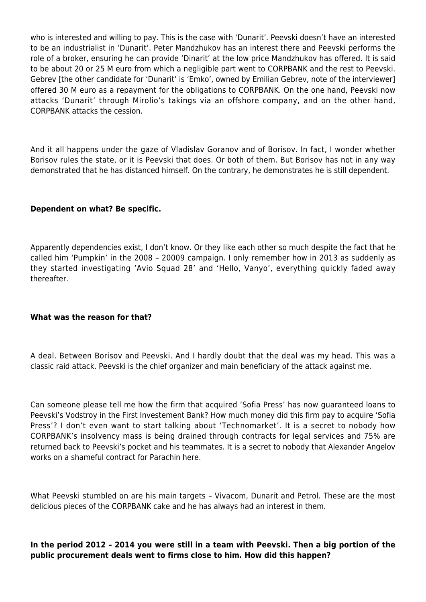who is interested and willing to pay. This is the case with 'Dunarit'. Peevski doesn't have an interested to be an industrialist in 'Dunarit'. Peter Mandzhukov has an interest there and Peevski performs the role of a broker, ensuring he can provide 'Dinarit' at the low price Mandzhukov has offered. It is said to be about 20 or 25 M euro from which a negligible part went to CORPBANK and the rest to Peevski. Gebrev [the other candidate for 'Dunarit' is 'Emko', owned by Emilian Gebrev, note of the interviewer] offered 30 M euro as a repayment for the obligations to CORPBANK. On the one hand, Peevski now attacks 'Dunarit' through Mirolio's takings via an offshore company, and on the other hand, CORPBANK attacks the cession.

And it all happens under the gaze of Vladislav Goranov and of Borisov. In fact, I wonder whether Borisov rules the state, or it is Peevski that does. Or both of them. But Borisov has not in any way demonstrated that he has distanced himself. On the contrary, he demonstrates he is still dependent.

# **Dependent on what? Be specific.**

Apparently dependencies exist, I don't know. Or they like each other so much despite the fact that he called him 'Pumpkin' in the 2008 – 20009 campaign. I only remember how in 2013 as suddenly as they started investigating 'Avio Squad 28' and 'Hello, Vanyo', everything quickly faded away thereafter.

## **What was the reason for that?**

A deal. Between Borisov and Peevski. And I hardly doubt that the deal was my head. This was a classic raid attack. Peevski is the chief organizer and main beneficiary of the attack against me.

Can someone please tell me how the firm that acquired 'Sofia Press' has now guaranteed loans to Peevski's Vodstroy in the First Investement Bank? How much money did this firm pay to acquire 'Sofia Press'? I don't even want to start talking about 'Technomarket'. It is a secret to nobody how CORPBANK's insolvency mass is being drained through contracts for legal services and 75% are returned back to Peevski's pocket and his teammates. It is a secret to nobody that Alexander Angelov works on a shameful contract for Parachin here.

What Peevski stumbled on are his main targets – Vivacom, Dunarit and Petrol. These are the most delicious pieces of the CORPBANK cake and he has always had an interest in them.

# **In the period 2012 – 2014 you were still in a team with Peevski. Then a big portion of the public procurement deals went to firms close to him. How did this happen?**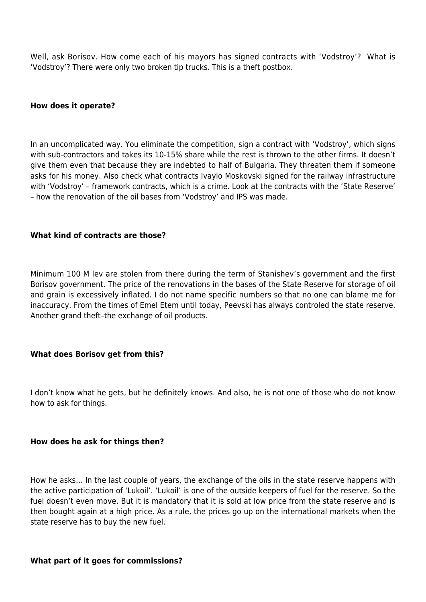Well, ask Borisov. How come each of his mayors has signed contracts with 'Vodstroy'? What is 'Vodstroy'? There were only two broken tip trucks. This is a theft postbox.

## **How does it operate?**

In an uncomplicated way. You eliminate the competition, sign a contract with 'Vodstroy', which signs with sub-contractors and takes its 10-15% share while the rest is thrown to the other firms. It doesn't give them even that because they are indebted to half of Bulgaria. They threaten them if someone asks for his money. Also check what contracts Ivaylo Moskovski signed for the railway infrastructure with 'Vodstroy' – framework contracts, which is a crime. Look at the contracts with the 'State Reserve' – how the renovation of the oil bases from 'Vodstroy' and IPS was made.

## **What kind of contracts are those?**

Minimum 100 M lev are stolen from there during the term of Stanishev's government and the first Borisov government. The price of the renovations in the bases of the State Reserve for storage of oil and grain is excessively inflated. I do not name specific numbers so that no one can blame me for inaccuracy. From the times of Emel Etem until today, Peevski has always controled the state reserve. Another grand theft–the exchange of oil products.

## **What does Borisov get from this?**

I don't know what he gets, but he definitely knows. And also, he is not one of those who do not know how to ask for things.

## **How does he ask for things then?**

How he asks… In the last couple of years, the exchange of the oils in the state reserve happens with the active participation of 'Lukoil'. 'Lukoil' is one of the outside keepers of fuel for the reserve. So the fuel doesn't even move. But it is mandatory that it is sold at low price from the state reserve and is then bought again at a high price. As a rule, the prices go up on the international markets when the state reserve has to buy the new fuel.

## **What part of it goes for commissions?**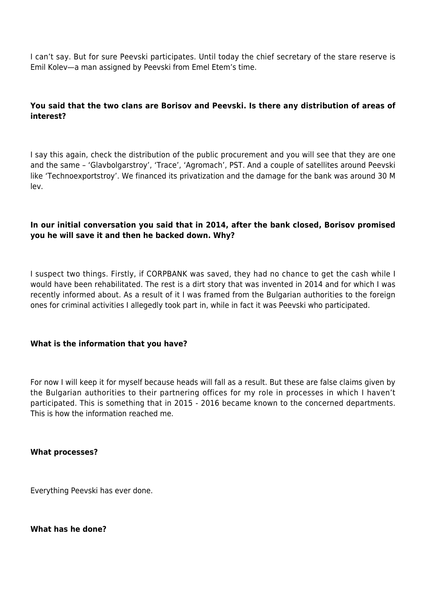I can't say. But for sure Peevski participates. Until today the chief secretary of the stare reserve is Emil Kolev—a man assigned by Peevski from Emel Etem's time.

# **You said that the two clans are Borisov and Peevski. Is there any distribution of areas of interest?**

I say this again, check the distribution of the public procurement and you will see that they are one and the same – 'Glavbolgarstroy', 'Trace', 'Agromach', PST. And a couple of satellites around Peevski like 'Technoexportstroy'. We financed its privatization and the damage for the bank was around 30 M lev.

# **In our initial conversation you said that in 2014, after the bank closed, Borisov promised you he will save it and then he backed down. Why?**

I suspect two things. Firstly, if CORPBANK was saved, they had no chance to get the cash while I would have been rehabilitated. The rest is a dirt story that was invented in 2014 and for which I was recently informed about. As a result of it I was framed from the Bulgarian authorities to the foreign ones for criminal activities I allegedly took part in, while in fact it was Peevski who participated.

# **What is the information that you have?**

For now I will keep it for myself because heads will fall as a result. But these are false claims given by the Bulgarian authorities to their partnering offices for my role in processes in which I haven't participated. This is something that in 2015 - 2016 became known to the concerned departments. This is how the information reached me.

## **What processes?**

Everything Peevski has ever done.

## **What has he done?**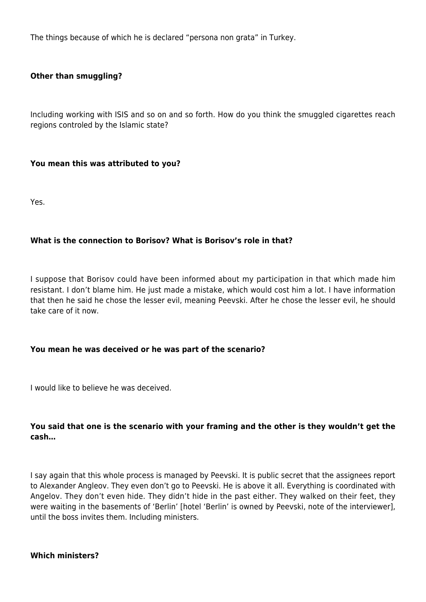The things because of which he is declared "persona non grata" in Turkey.

# **Other than smuggling?**

Including working with ISIS and so on and so forth. How do you think the smuggled cigarettes reach regions controled by the Islamic state?

## **You mean this was attributed to you?**

Yes.

## **What is the connection to Borisov? What is Borisov's role in that?**

I suppose that Borisov could have been informed about my participation in that which made him resistant. I don't blame him. He just made a mistake, which would cost him a lot. I have information that then he said he chose the lesser evil, meaning Peevski. After he chose the lesser evil, he should take care of it now.

## **You mean he was deceived or he was part of the scenario?**

I would like to believe he was deceived.

# **You said that one is the scenario with your framing and the other is they wouldn't get the cash…**

I say again that this whole process is managed by Peevski. It is public secret that the assignees report to Alexander Angleov. They even don't go to Peevski. He is above it all. Everything is coordinated with Angelov. They don't even hide. They didn't hide in the past either. They walked on their feet, they were waiting in the basements of 'Berlin' [hotel 'Berlin' is owned by Peevski, note of the interviewer], until the boss invites them. Including ministers.

## **Which ministers?**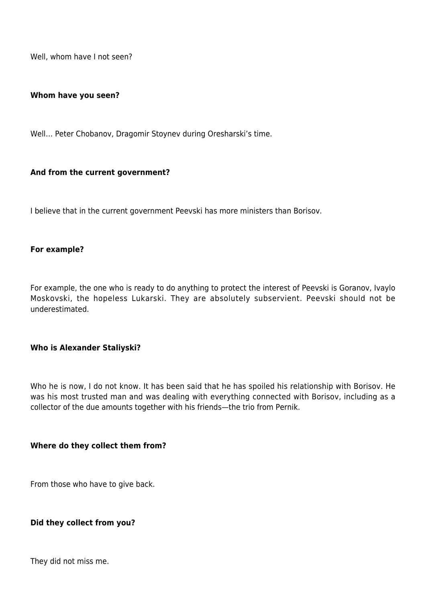Well, whom have I not seen?

#### **Whom have you seen?**

Well… Peter Chobanov, Dragomir Stoynev during Oresharski's time.

## **And from the current government?**

I believe that in the current government Peevski has more ministers than Borisov.

#### **For example?**

For example, the one who is ready to do anything to protect the interest of Peevski is Goranov, Ivaylo Moskovski, the hopeless Lukarski. They are absolutely subservient. Peevski should not be underestimated.

## **Who is Alexander Staliyski?**

Who he is now, I do not know. It has been said that he has spoiled his relationship with Borisov. He was his most trusted man and was dealing with everything connected with Borisov, including as a collector of the due amounts together with his friends—the trio from Pernik.

## **Where do they collect them from?**

From those who have to give back.

## **Did they collect from you?**

They did not miss me.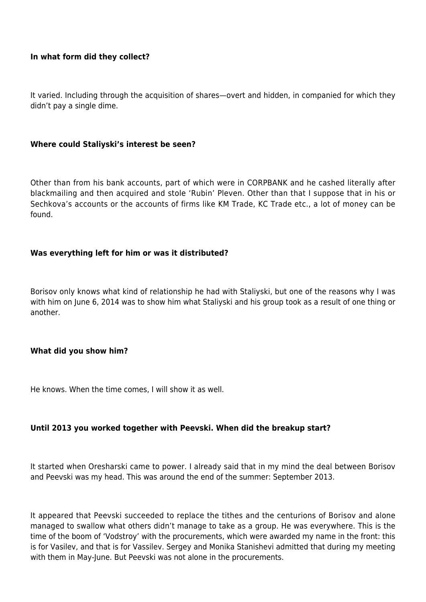# **In what form did they collect?**

It varied. Including through the acquisition of shares—overt and hidden, in companied for which they didn't pay a single dime.

## **Where could Staliyski's interest be seen?**

Other than from his bank accounts, part of which were in CORPBANK and he cashed literally after blackmailing and then acquired and stole 'Rubin' Pleven. Other than that I suppose that in his or Sechkova's accounts or the accounts of firms like KM Trade, KC Trade etc., a lot of money can be found.

## **Was everything left for him or was it distributed?**

Borisov only knows what kind of relationship he had with Staliyski, but one of the reasons why I was with him on June 6, 2014 was to show him what Staliyski and his group took as a result of one thing or another.

## **What did you show him?**

He knows. When the time comes, I will show it as well.

# **Until 2013 you worked together with Peevski. When did the breakup start?**

It started when Oresharski came to power. I already said that in my mind the deal between Borisov and Peevski was my head. This was around the end of the summer: September 2013.

It appeared that Peevski succeeded to replace the tithes and the centurions of Borisov and alone managed to swallow what others didn't manage to take as a group. He was everywhere. This is the time of the boom of 'Vodstroy' with the procurements, which were awarded my name in the front: this is for Vasilev, and that is for Vassilev. Sergey and Monika Stanishevi admitted that during my meeting with them in May-June. But Peevski was not alone in the procurements.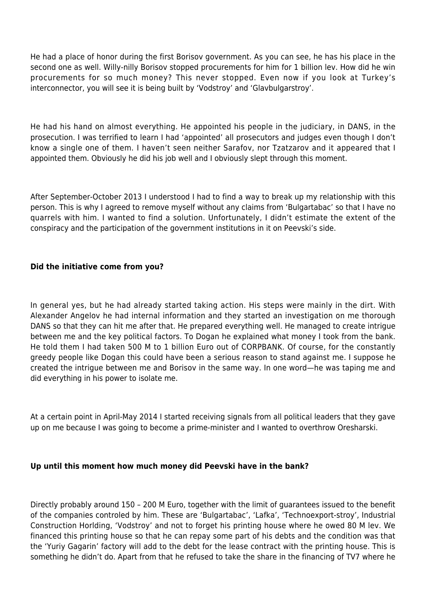He had a place of honor during the first Borisov government. As you can see, he has his place in the second one as well. Willy-nilly Borisov stopped procurements for him for 1 billion lev. How did he win procurements for so much money? This never stopped. Even now if you look at Turkey's interconnector, you will see it is being built by 'Vodstroy' and 'Glavbulgarstroy'.

He had his hand on almost everything. He appointed his people in the judiciary, in DANS, in the prosecution. I was terrified to learn I had 'appointed' all prosecutors and judges even though I don't know a single one of them. I haven't seen neither Sarafov, nor Tzatzarov and it appeared that I appointed them. Obviously he did his job well and I obviously slept through this moment.

After September-October 2013 I understood I had to find a way to break up my relationship with this person. This is why I agreed to remove myself without any claims from 'Bulgartabac' so that I have no quarrels with him. I wanted to find a solution. Unfortunately, I didn't estimate the extent of the conspiracy and the participation of the government institutions in it on Peevski's side.

# **Did the initiative come from you?**

In general yes, but he had already started taking action. His steps were mainly in the dirt. With Alexander Angelov he had internal information and they started an investigation on me thorough DANS so that they can hit me after that. He prepared everything well. He managed to create intrigue between me and the key political factors. To Dogan he explained what money I took from the bank. He told them I had taken 500 M to 1 billion Euro out of CORPBANK. Of course, for the constantly greedy people like Dogan this could have been a serious reason to stand against me. I suppose he created the intrigue between me and Borisov in the same way. In one word—he was taping me and did everything in his power to isolate me.

At a certain point in April-May 2014 I started receiving signals from all political leaders that they gave up on me because I was going to become a prime-minister and I wanted to overthrow Oresharski.

# **Up until this moment how much money did Peevski have in the bank?**

Directly probably around 150 – 200 M Euro, together with the limit of guarantees issued to the benefit of the companies controled by him. These are 'Bulgartabac', 'Lafka', 'Technoexport-stroy', Industrial Construction Horlding, 'Vodstroy' and not to forget his printing house where he owed 80 M lev. We financed this printing house so that he can repay some part of his debts and the condition was that the 'Yuriy Gagarin' factory will add to the debt for the lease contract with the printing house. This is something he didn't do. Apart from that he refused to take the share in the financing of TV7 where he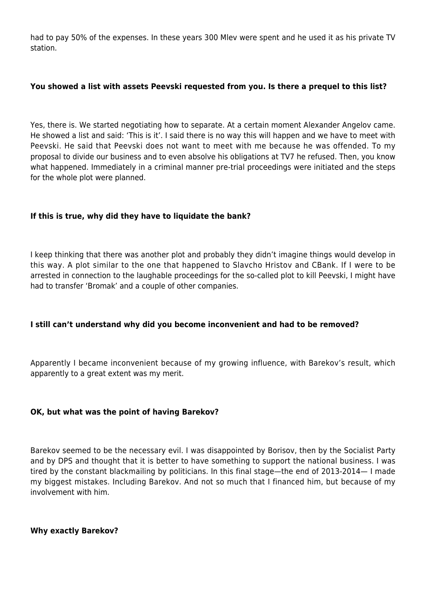had to pay 50% of the expenses. In these years 300 Mlev were spent and he used it as his private TV station.

## **You showed a list with assets Peevski requested from you. Is there a prequel to this list?**

Yes, there is. We started negotiating how to separate. At a certain moment Alexander Angelov came. He showed a list and said: 'This is it'. I said there is no way this will happen and we have to meet with Peevski. He said that Peevski does not want to meet with me because he was offended. To my proposal to divide our business and to even absolve his obligations at TV7 he refused. Then, you know what happened. Immediately in a criminal manner pre-trial proceedings were initiated and the steps for the whole plot were planned.

# **If this is true, why did they have to liquidate the bank?**

I keep thinking that there was another plot and probably they didn't imagine things would develop in this way. A plot similar to the one that happened to Slavcho Hristov and CBank. If I were to be arrested in connection to the laughable proceedings for the so-called plot to kill Peevski, I might have had to transfer 'Bromak' and a couple of other companies.

# **I still can't understand why did you become inconvenient and had to be removed?**

Apparently I became inconvenient because of my growing influence, with Barekov's result, which apparently to a great extent was my merit.

# **OK, but what was the point of having Barekov?**

Barekov seemed to be the necessary evil. I was disappointed by Borisov, then by the Socialist Party and by DPS and thought that it is better to have something to support the national business. I was tired by the constant blackmailing by politicians. In this final stage—the end of 2013-2014— I made my biggest mistakes. Including Barekov. And not so much that I financed him, but because of my involvement with him.

**Why exactly Barekov?**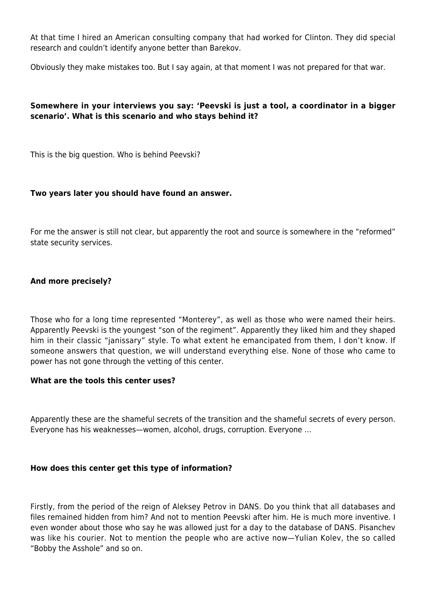At that time I hired an American consulting company that had worked for Clinton. They did special research and couldn't identify anyone better than Barekov.

Obviously they make mistakes too. But I say again, at that moment I was not prepared for that war.

# **Somewhere in your interviews you say: 'Peevski is just a tool, a coordinator in a bigger scenario'. What is this scenario and who stays behind it?**

This is the big question. Who is behind Peevski?

# **Two years later you should have found an answer.**

For me the answer is still not clear, but apparently the root and source is somewhere in the "reformed" state security services.

# **And more precisely?**

Those who for a long time represented "Monterey", as well as those who were named their heirs. Apparently Peevski is the youngest "son of the regiment". Apparently they liked him and they shaped him in their classic "janissary" style. To what extent he emancipated from them, I don't know. If someone answers that question, we will understand everything else. None of those who came to power has not gone through the vetting of this center.

# **What are the tools this center uses?**

Apparently these are the shameful secrets of the transition and the shameful secrets of every person. Everyone has his weaknesses—women, alcohol, drugs, corruption. Everyone …

# **How does this center get this type of information?**

Firstly, from the period of the reign of Aleksey Petrov in DANS. Do you think that all databases and files remained hidden from him? And not to mention Peevski after him. He is much more inventive. I even wonder about those who say he was allowed just for a day to the database of DANS. Pisanchev was like his courier. Not to mention the people who are active now—Yulian Kolev, the so called "Bobby the Asshole" and so on.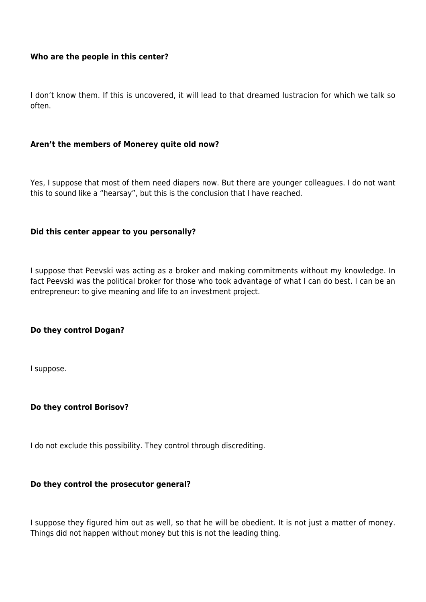## **Who are the people in this center?**

I don't know them. If this is uncovered, it will lead to that dreamed lustracion for which we talk so often.

## **Aren't the members of Monerey quite old now?**

Yes, I suppose that most of them need diapers now. But there are younger colleagues. I do not want this to sound like a "hearsay", but this is the conclusion that I have reached.

## **Did this center appear to you personally?**

I suppose that Peevski was acting as a broker and making commitments without my knowledge. In fact Peevski was the political broker for those who took advantage of what I can do best. I can be an entrepreneur: to give meaning and life to an investment project.

## **Do they control Dogan?**

I suppose.

## **Do they control Borisov?**

I do not exclude this possibility. They control through discrediting.

## **Do they control the prosecutor general?**

I suppose they figured him out as well, so that he will be obedient. It is not just a matter of money. Things did not happen without money but this is not the leading thing.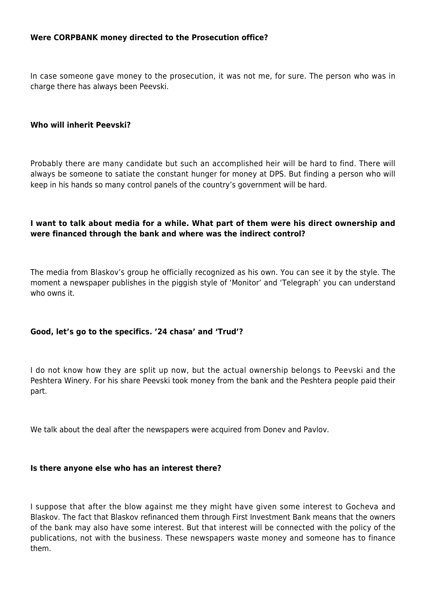## **Were CORPBANK money directed to the Prosecution office?**

In case someone gave money to the prosecution, it was not me, for sure. The person who was in charge there has always been Peevski.

#### **Who will inherit Peevski?**

Probably there are many candidate but such an accomplished heir will be hard to find. There will always be someone to satiate the constant hunger for money at DPS. But finding a person who will keep in his hands so many control panels of the country's government will be hard.

## **I want to talk about media for a while. What part of them were his direct ownership and were financed through the bank and where was the indirect control?**

The media from Blaskov's group he officially recognized as his own. You can see it by the style. The moment a newspaper publishes in the piggish style of 'Monitor' and 'Telegraph' you can understand who owns it.

## **Good, let's go to the specifics. '24 chasa' and 'Trud'?**

I do not know how they are split up now, but the actual ownership belongs to Peevski and the Peshtera Winery. For his share Peevski took money from the bank and the Peshtera people paid their part.

We talk about the deal after the newspapers were acquired from Donev and Pavlov.

#### **Is there anyone else who has an interest there?**

I suppose that after the blow against me they might have given some interest to Gocheva and Blaskov. The fact that Blaskov refinanced them through First Investment Bank means that the owners of the bank may also have some interest. But that interest will be connected with the policy of the publications, not with the business. These newspapers waste money and someone has to finance them.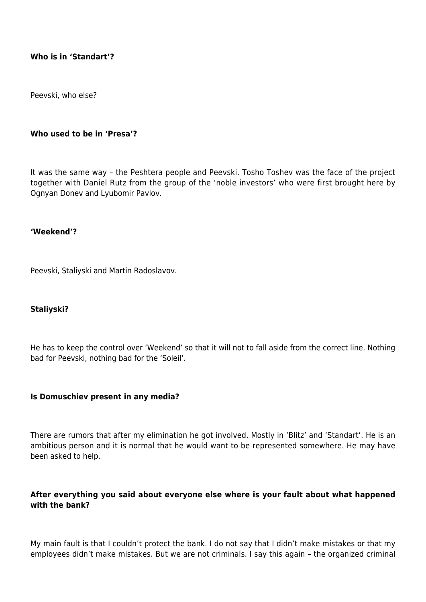## **Who is in 'Standart'?**

Peevski, who else?

## **Who used to be in 'Presa'?**

It was the same way – the Peshtera people and Peevski. Tosho Toshev was the face of the project together with Daniel Rutz from the group of the 'noble investors' who were first brought here by Ognyan Donev and Lyubomir Pavlov.

## **'Weekend'?**

Peevski, Staliyski and Martin Radoslavov.

## **Staliyski?**

He has to keep the control over 'Weekend' so that it will not to fall aside from the correct line. Nothing bad for Peevski, nothing bad for the 'Soleil'.

## **Is Domuschiev present in any media?**

There are rumors that after my elimination he got involved. Mostly in 'Blitz' and 'Standart'. He is an ambitious person and it is normal that he would want to be represented somewhere. He may have been asked to help.

# **After everything you said about everyone else where is your fault about what happened with the bank?**

My main fault is that I couldn't protect the bank. I do not say that I didn't make mistakes or that my employees didn't make mistakes. But we are not criminals. I say this again – the organized criminal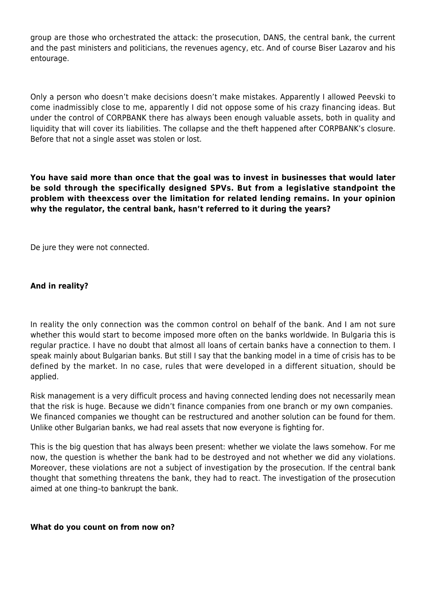group are those who orchestrated the attack: the prosecution, DANS, the central bank, the current and the past ministers and politicians, the revenues agency, etc. And of course Biser Lazarov and his entourage.

Only a person who doesn't make decisions doesn't make mistakes. Apparently I allowed Peevski to come inadmissibly close to me, apparently I did not oppose some of his crazy financing ideas. But under the control of CORPBANK there has always been enough valuable assets, both in quality and liquidity that will cover its liabilities. The collapse and the theft happened after CORPBANK's closure. Before that not a single asset was stolen or lost.

**You have said more than once that the goal was to invest in businesses that would later be sold through the specifically designed SPVs. But from a legislative standpoint the problem with theexcess over the limitation for related lending remains. In your opinion why the regulator, the central bank, hasn't referred to it during the years?**

De jure they were not connected.

# **And in reality?**

In reality the only connection was the common control on behalf of the bank. And I am not sure whether this would start to become imposed more often on the banks worldwide. In Bulgaria this is regular practice. I have no doubt that almost all loans of certain banks have a connection to them. I speak mainly about Bulgarian banks. But still I say that the banking model in a time of crisis has to be defined by the market. In no case, rules that were developed in a different situation, should be applied.

Risk management is a very difficult process and having connected lending does not necessarily mean that the risk is huge. Because we didn't finance companies from one branch or my own companies. We financed companies we thought can be restructured and another solution can be found for them. Unlike other Bulgarian banks, we had real assets that now everyone is fighting for.

This is the big question that has always been present: whether we violate the laws somehow. For me now, the question is whether the bank had to be destroyed and not whether we did any violations. Moreover, these violations are not a subject of investigation by the prosecution. If the central bank thought that something threatens the bank, they had to react. The investigation of the prosecution aimed at one thing–to bankrupt the bank.

# **What do you count on from now on?**